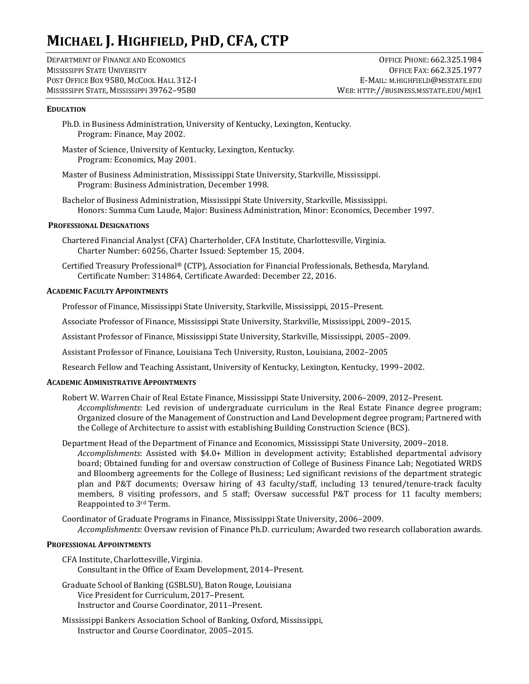# **MICHAEL J. HIGHFIELD, PHD, CFA, CTP**

DEPARTMENT OF FINANCE AND ECONOMICS MISSISSIPPI STATE UNIVERSITY POST OFFICE BOX 9580, MCCOOL HALL 312-I MISSISSIPPI STATE, MISSISSIPPI 39762–9580

OFFICE PHONE: 662.325.1984 OFFICE FAX: 662.325.1977 E-MAIL: M.HIGHFIELD@MSSTATE.EDU WEB: HTTP://BUSINESS.MSSTATE.EDU/MJH1

# **EDUCATION**

- Ph.D. in Business Administration, University of Kentucky, Lexington, Kentucky. Program: Finance, May 2002.
- Master of Science, University of Kentucky, Lexington, Kentucky. Program: Economics, May 2001.
- Master of Business Administration, Mississippi State University, Starkville, Mississippi. Program: Business Administration, December 1998.
- Bachelor of Business Administration, Mississippi State University, Starkville, Mississippi. Honors: Summa Cum Laude, Major: Business Administration, Minor: Economics, December 1997.

# **PROFESSIONAL DESIGNATIONS**

Chartered Financial Analyst (CFA) Charterholder, CFA Institute, Charlottesville, Virginia. Charter Number: 60256, Charter Issued: September 15, 2004.

Certified Treasury Professional® (CTP), Association for Financial Professionals, Bethesda, Maryland. Certificate Number: 314864, Certificate Awarded: December 22, 2016.

### **ACADEMIC FACULTY APPOINTMENTS**

Professor of Finance, Mississippi State University, Starkville, Mississippi, 2015–Present.

Associate Professor of Finance, Mississippi State University, Starkville, Mississippi, 2009–2015.

Assistant Professor of Finance, Mississippi State University, Starkville, Mississippi, 2005–2009.

Assistant Professor of Finance, Louisiana Tech University, Ruston, Louisiana, 2002–2005

Research Fellow and Teaching Assistant, University of Kentucky, Lexington, Kentucky, 1999–2002.

# **ACADEMIC ADMINISTRATIVE APPOINTMENTS**

- Robert W. Warren Chair of Real Estate Finance, Mississippi State University, 2006–2009, 2012–Present. *Accomplishments*: Led revision of undergraduate curriculum in the Real Estate Finance degree program; Organized closure of the Management of Construction and Land Development degree program; Partnered with the College of Architecture to assist with establishing Building Construction Science (BCS).
- Department Head of the Department of Finance and Economics, Mississippi State University, 2009–2018. *Accomplishments*: Assisted with \$4.0+ Million in development activity; Established departmental advisory board; Obtained funding for and oversaw construction of College of Business Finance Lab; Negotiated WRDS and Bloomberg agreements for the College of Business; Led significant revisions of the department strategic plan and P&T documents; Oversaw hiring of 43 faculty/staff, including 13 tenured/tenure-track faculty members, 8 visiting professors, and 5 staff; Oversaw successful P&T process for 11 faculty members; Reappointed to 3rd Term.

Coordinator of Graduate Programs in Finance, Mississippi State University, 2006–2009. *Accomplishments*: Oversaw revision of Finance Ph.D. curriculum; Awarded two research collaboration awards.

### **PROFESSIONAL APPOINTMENTS**

- CFA Institute, Charlottesville, Virginia. Consultant in the Office of Exam Development, 2014–Present.
- Graduate School of Banking (GSBLSU), Baton Rouge, Louisiana Vice President for Curriculum, 2017–Present. Instructor and Course Coordinator, 2011–Present.
- Mississippi Bankers Association School of Banking, Oxford, Mississippi, Instructor and Course Coordinator, 2005–2015.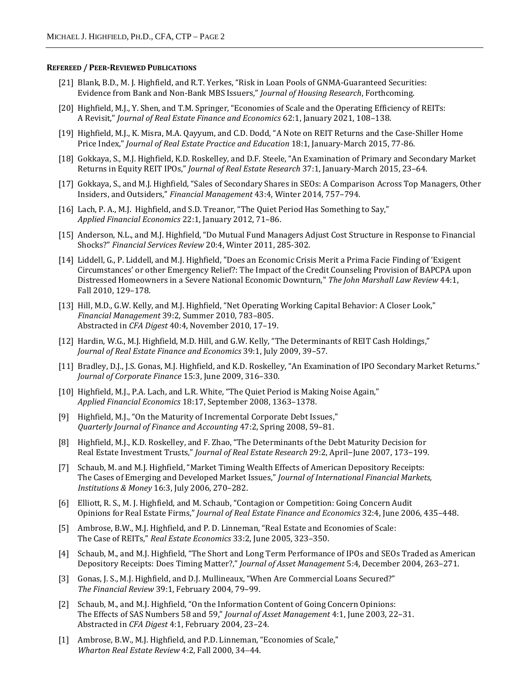#### **REFEREED / PEER-REVIEWED PUBLICATIONS**

- [21] Blank, B.D., M. J. Highfield, and R.T. Yerkes, "Risk in Loan Pools of GNMA-Guaranteed Securities: Evidence from Bank and Non-Bank MBS Issuers," *Journal of Housing Research*, Forthcoming.
- [20] Highfield, M.J., Y. Shen, and T.M. Springer, "Economies of Scale and the Operating Efficiency of REITs: A Revisit," *Journal of Real Estate Finance and Economics* 62:1, January 2021, 108–138.
- [19] Highfield, M.J., K. Misra, M.A. Qayyum, and C.D. Dodd, "A Note on REIT Returns and the Case-Shiller Home Price Index," *Journal of Real Estate Practice and Education* 18:1, January-March 2015, 77-86.
- [18] Gokkaya, S., M.J. Highfield, K.D. Roskelley, and D.F. Steele, "An Examination of Primary and Secondary Market Returns in Equity REIT IPOs," *Journal of Real Estate Research* 37:1, January-March 2015, 23–64.
- [17] Gokkaya, S., and M.J. Highfield, "Sales of Secondary Shares in SEOs: A Comparison Across Top Managers, Other Insiders, and Outsiders," *Financial Management* 43:4, Winter 2014, 757–794.
- [16] Lach, P. A., M.J. Highfield, and S.D. Treanor, "The Quiet Period Has Something to Say," *Applied Financial Economics* 22:1, January 2012, 71–86.
- [15] Anderson, N.L., and M.J. Highfield, "Do Mutual Fund Managers Adjust Cost Structure in Response to Financial Shocks?" *Financial Services Review* 20:4, Winter 2011, 285-302.
- [14] Liddell, G., P. Liddell, and M.J. Highfield, "Does an Economic Crisis Merit a Prima Facie Finding of 'Exigent Circumstances' or other Emergency Relief?: The Impact of the Credit Counseling Provision of BAPCPA upon Distressed Homeowners in a Severe National Economic Downturn," *The John Marshall Law Review* 44:1, Fall 2010, 129–178.
- [13] Hill, M.D., G.W. Kelly, and M.J. Highfield, "Net Operating Working Capital Behavior: A Closer Look," *Financial Management* 39:2, Summer 2010, 783–805. Abstracted in *CFA Digest* 40:4, November 2010, 17–19.
- [12] Hardin, W.G., M.J. Highfield, M.D. Hill, and G.W. Kelly, "The Determinants of REIT Cash Holdings," *Journal of Real Estate Finance and Economics* 39:1, July 2009, 39–57.
- [11] Bradley, D.J., J.S. Gonas, M.J. Highfield, and K.D. Roskelley, "An Examination of IPO Secondary Market Returns." *Journal of Corporate Finance* 15:3, June 2009, 316–330.
- [10] Highfield, M.J., P.A. Lach, and L.R. White, "The Quiet Period is Making Noise Again," *Applied Financial Economics* 18:17, September 2008, 1363–1378.
- [9] Highfield, M.J., "On the Maturity of Incremental Corporate Debt Issues," *Quarterly Journal of Finance and Accounting* 47:2, Spring 2008, 59–81.
- [8] Highfield, M.J., K.D. Roskelley, and F. Zhao, "The Determinants of the Debt Maturity Decision for Real Estate Investment Trusts," *Journal of Real Estate Research* 29:2, April−June 2007, 173−199.
- [7] Schaub, M. and M.J. Highfield, "Market Timing Wealth Effects of American Depository Receipts: The Cases of Emerging and Developed Market Issues," *Journal of International Financial Markets, Institutions & Money* 16:3, July 2006, 270–282.
- [6] Elliott, R. S., M. J. Highfield, and M. Schaub, "Contagion or Competition: Going Concern Audit Opinions for Real Estate Firms," *Journal of Real Estate Finance and Economics* 32:4, June 2006, 435–448.
- [5] Ambrose, B.W., M.J. Highfield, and P. D. Linneman, "Real Estate and Economies of Scale: The Case of REITs," *Real Estate Economics* 33:2, June 2005, 323–350.
- [4] Schaub, M., and M.J. Highfield, "The Short and Long Term Performance of IPOs and SEOs Traded as American Depository Receipts: Does Timing Matter?," *Journal of Asset Management* 5:4, December 2004, 263–271.
- [3] Gonas, J. S., M.J. Highfield, and D.J. Mullineaux, "When Are Commercial Loans Secured?" *The Financial Review* 39:1, February 2004, 79–99.
- [2] Schaub, M., and M.J. Highfield, "On the Information Content of Going Concern Opinions: The Effects of SAS Numbers 58 and 59," *Journal of Asset Management* 4:1, June 2003, 22–31. Abstracted in *CFA Digest* 4:1, February 2004, 23–24.
- [1] Ambrose, B.W., M.J. Highfield, and P.D. Linneman, "Economies of Scale," *Wharton Real Estate Review 4:2, Fall 2000, 34-44.*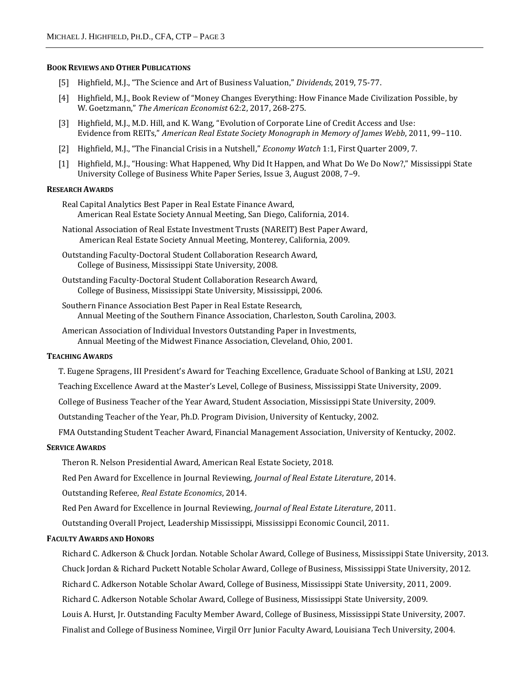#### **BOOK REVIEWS AND OTHER PUBLICATIONS**

- [5] Highfield, M.J., "The Science and Art of Business Valuation," *Dividends*, 2019, 75-77.
- [4] Highfield, M.J., Book Review of "Money Changes Everything: How Finance Made Civilization Possible, by W. Goetzmann," *The American Economist* 62:2, 2017, 268-275.
- [3] Highfield, M.J., M.D. Hill, and K. Wang, "Evolution of Corporate Line of Credit Access and Use: Evidence from REITs," *American Real Estate Society Monograph in Memory of James Webb*, 2011, 99–110.
- [2] Highfield, M.J., "The Financial Crisis in a Nutshell," *Economy Watch* 1:1, First Quarter 2009, 7.
- [1] Highfield, M.J., "Housing: What Happened, Why Did It Happen, and What Do We Do Now?," Mississippi State University College of Business White Paper Series, Issue 3, August 2008, 7–9.

#### **RESEARCH AWARDS**

Real Capital Analytics Best Paper in Real Estate Finance Award, American Real Estate Society Annual Meeting, San Diego, California, 2014.

- National Association of Real Estate Investment Trusts (NAREIT) Best Paper Award, American Real Estate Society Annual Meeting, Monterey, California, 2009.
- Outstanding Faculty-Doctoral Student Collaboration Research Award, College of Business, Mississippi State University, 2008.
- Outstanding Faculty-Doctoral Student Collaboration Research Award, College of Business, Mississippi State University, Mississippi, 2006.
- Southern Finance Association Best Paper in Real Estate Research, Annual Meeting of the Southern Finance Association, Charleston, South Carolina, 2003.
- American Association of Individual Investors Outstanding Paper in Investments, Annual Meeting of the Midwest Finance Association, Cleveland, Ohio, 2001.

# **TEACHING AWARDS**

T. Eugene Spragens, III President's Award for Teaching Excellence, Graduate School of Banking at LSU, 2021

Teaching Excellence Award at the Master's Level, College of Business, Mississippi State University, 2009.

College of Business Teacher of the Year Award, Student Association, Mississippi State University, 2009.

Outstanding Teacher of the Year, Ph.D. Program Division, University of Kentucky, 2002.

FMA Outstanding Student Teacher Award, Financial Management Association, University of Kentucky, 2002.

## **SERVICE AWARDS**

Theron R. Nelson Presidential Award, American Real Estate Society, 2018.

Red Pen Award for Excellence in Journal Reviewing, *Journal of Real Estate Literature*, 2014.

Outstanding Referee, *Real Estate Economics*, 2014.

Red Pen Award for Excellence in Journal Reviewing, *Journal of Real Estate Literature*, 2011.

Outstanding Overall Project, Leadership Mississippi, Mississippi Economic Council, 2011.

#### **FACULTY AWARDS AND HONORS**

Richard C. Adkerson & Chuck Jordan. Notable Scholar Award, College of Business, Mississippi State University, 2013. Chuck Jordan & Richard Puckett Notable Scholar Award, College of Business, Mississippi State University, 2012. Richard C. Adkerson Notable Scholar Award, College of Business, Mississippi State University, 2011, 2009. Richard C. Adkerson Notable Scholar Award, College of Business, Mississippi State University, 2009. Louis A. Hurst, Jr. Outstanding Faculty Member Award, College of Business, Mississippi State University, 2007. Finalist and College of Business Nominee, Virgil Orr Junior Faculty Award, Louisiana Tech University, 2004.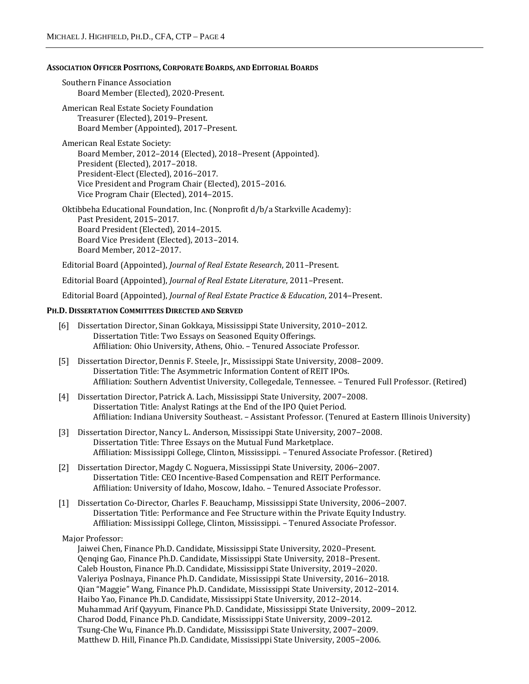## **ASSOCIATION OFFICER POSITIONS, CORPORATE BOARDS, AND EDITORIAL BOARDS**

Southern Finance Association Board Member (Elected), 2020-Present.

American Real Estate Society Foundation Treasurer (Elected), 2019–Present. Board Member (Appointed), 2017–Present.

American Real Estate Society: Board Member, 2012–2014 (Elected), 2018–Present (Appointed). President (Elected), 2017–2018. President-Elect (Elected), 2016–2017. Vice President and Program Chair (Elected), 2015–2016. Vice Program Chair (Elected), 2014–2015.

Oktibbeha Educational Foundation, Inc. (Nonprofit d/b/a Starkville Academy): Past President, 2015–2017. Board President (Elected), 2014–2015. Board Vice President (Elected), 2013–2014. Board Member, 2012–2017.

Editorial Board (Appointed), *Journal of Real Estate Research*, 2011–Present.

Editorial Board (Appointed), *Journal of Real Estate Literature*, 2011–Present.

Editorial Board (Appointed), *Journal of Real Estate Practice & Education*, 2014–Present.

# **PH.D. DISSERTATION COMMITTEES DIRECTED AND SERVED**

- [6] Dissertation Director, Sinan Gokkaya, Mississippi State University, 2010−2012. Dissertation Title: Two Essays on Seasoned Equity Offerings. Affiliation: Ohio University, Athens, Ohio. – Tenured Associate Professor.
- [5] Dissertation Director, Dennis F. Steele, Jr., Mississippi State University, 2008−2009. Dissertation Title: The Asymmetric Information Content of REIT IPOs. Affiliation: Southern Adventist University, Collegedale, Tennessee. – Tenured Full Professor. (Retired)
- [4] Dissertation Director, Patrick A. Lach, Mississippi State University, 2007−2008. Dissertation Title: Analyst Ratings at the End of the IPO Quiet Period. Affiliation: Indiana University Southeast. – Assistant Professor. (Tenured at Eastern Illinois University)
- [3] Dissertation Director, Nancy L. Anderson, Mississippi State University, 2007−2008. Dissertation Title: Three Essays on the Mutual Fund Marketplace. Affiliation: Mississippi College, Clinton, Mississippi. – Tenured Associate Professor. (Retired)
- [2] Dissertation Director, Magdy C. Noguera, Mississippi State University, 2006−2007. Dissertation Title: CEO Incentive-Based Compensation and REIT Performance. Affiliation: University of Idaho, Moscow, Idaho. – Tenured Associate Professor.
- [1] Dissertation Co-Director, Charles F. Beauchamp, Mississippi State University, 2006−2007. Dissertation Title: Performance and Fee Structure within the Private Equity Industry. Affiliation: Mississippi College, Clinton, Mississippi. – Tenured Associate Professor.

Major Professor:

Jaiwei Chen, Finance Ph.D. Candidate, Mississippi State University, 2020–Present. Qenqing Gao, Finance Ph.D. Candidate, Mississippi State University, 2018–Present. Caleb Houston, Finance Ph.D. Candidate, Mississippi State University, 2019–2020. Valeriya Poslnaya, Finance Ph.D. Candidate, Mississippi State University, 2016–2018. Qian "Maggie" Wang, Finance Ph.D. Candidate, Mississippi State University, 2012–2014. Haibo Yao, Finance Ph.D. Candidate, Mississippi State University, 2012–2014. Muhammad Arif Qayyum, Finance Ph.D. Candidate, Mississippi State University, 2009−2012. Charod Dodd, Finance Ph.D. Candidate, Mississippi State University, 2009–2012. Tsung-Che Wu, Finance Ph.D. Candidate, Mississippi State University, 2007−2009. Matthew D. Hill, Finance Ph.D. Candidate, Mississippi State University, 2005−2006.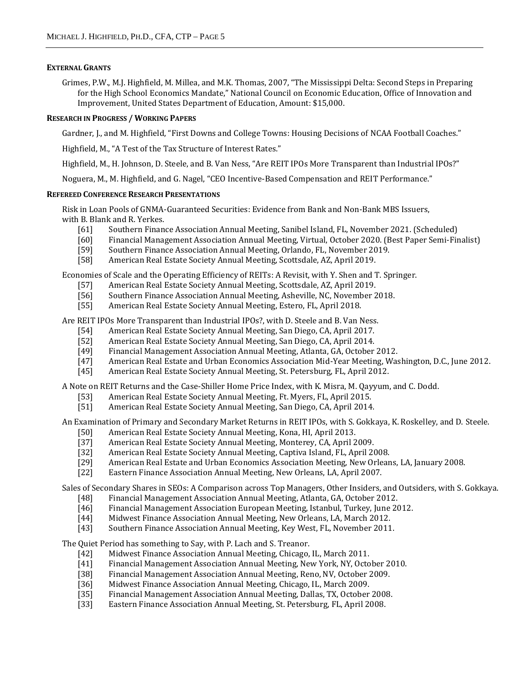# **EXTERNAL GRANTS**

Grimes, P.W., M.J. Highfield, M. Millea, and M.K. Thomas, 2007, "The Mississippi Delta: Second Steps in Preparing for the High School Economics Mandate," National Council on Economic Education, Office of Innovation and Improvement, United States Department of Education, Amount: \$15,000.

# **RESEARCH IN PROGRESS / WORKING PAPERS**

Gardner, J., and M. Highfield, "First Downs and College Towns: Housing Decisions of NCAA Football Coaches."

Highfield, M., "A Test of the Tax Structure of Interest Rates."

Highfield, M., H. Johnson, D. Steele, and B. Van Ness, "Are REIT IPOs More Transparent than Industrial IPOs?"

Noguera, M., M. Highfield, and G. Nagel, "CEO Incentive-Based Compensation and REIT Performance."

## **REFEREED CONFERENCE RESEARCH PRESENTATIONS**

Risk in Loan Pools of GNMA-Guaranteed Securities: Evidence from Bank and Non-Bank MBS Issuers, with B. Blank and R. Yerkes.

- [61] Southern Finance Association Annual Meeting, Sanibel Island, FL, November 2021. (Scheduled)
- [60] Financial Management Association Annual Meeting, Virtual, October 2020. (Best Paper Semi-Finalist)
- [59] Southern Finance Association Annual Meeting, Orlando, FL, November 2019.
- [58] American Real Estate Society Annual Meeting, Scottsdale, AZ, April 2019.

Economies of Scale and the Operating Efficiency of REITs: A Revisit, with Y. Shen and T. Springer.

- [57] American Real Estate Society Annual Meeting, Scottsdale, AZ, April 2019.
- [56] Southern Finance Association Annual Meeting, Asheville, NC, November 2018.
- [55] American Real Estate Society Annual Meeting, Estero, FL, April 2018.

Are REIT IPOs More Transparent than Industrial IPOs?, with D. Steele and B. Van Ness.

- [54] American Real Estate Society Annual Meeting, San Diego, CA, April 2017.
- [52] American Real Estate Society Annual Meeting, San Diego, CA, April 2014.
- [49] Financial Management Association Annual Meeting, Atlanta, GA, October 2012.
- [47] American Real Estate and Urban Economics Association Mid-Year Meeting, Washington, D.C., June 2012.
- [45] American Real Estate Society Annual Meeting, St. Petersburg, FL, April 2012.

A Note on REIT Returns and the Case-Shiller Home Price Index, with K. Misra, M. Qayyum, and C. Dodd.

- [53] American Real Estate Society Annual Meeting, Ft. Myers, FL, April 2015.
- [51] American Real Estate Society Annual Meeting, San Diego, CA, April 2014.

An Examination of Primary and Secondary Market Returns in REIT IPOs, with S. Gokkaya, K. Roskelley, and D. Steele.

- [50] American Real Estate Society Annual Meeting, Kona, HI, April 2013.
- [37] American Real Estate Society Annual Meeting, Monterey, CA, April 2009.
- [32] American Real Estate Society Annual Meeting, Captiva Island, FL, April 2008.
- [29] American Real Estate and Urban Economics Association Meeting, New Orleans, LA, January 2008.
- [22] Eastern Finance Association Annual Meeting, New Orleans, LA, April 2007.

Sales of Secondary Shares in SEOs: A Comparison across Top Managers, Other Insiders, and Outsiders, with S. Gokkaya.

- [48] Financial Management Association Annual Meeting, Atlanta, GA, October 2012.
- [46] Financial Management Association European Meeting, Istanbul, Turkey, June 2012.
- [44] Midwest Finance Association Annual Meeting, New Orleans, LA, March 2012.
- [43] Southern Finance Association Annual Meeting, Key West, FL, November 2011.

The Quiet Period has something to Say, with P. Lach and S. Treanor.

- [42] Midwest Finance Association Annual Meeting, Chicago, IL, March 2011.
- [41] Financial Management Association Annual Meeting, New York, NY, October 2010.
- [38] Financial Management Association Annual Meeting, Reno, NV, October 2009.
- [36] Midwest Finance Association Annual Meeting, Chicago, IL, March 2009.
- [35] Financial Management Association Annual Meeting, Dallas, TX, October 2008.
- [33] Eastern Finance Association Annual Meeting, St. Petersburg, FL, April 2008.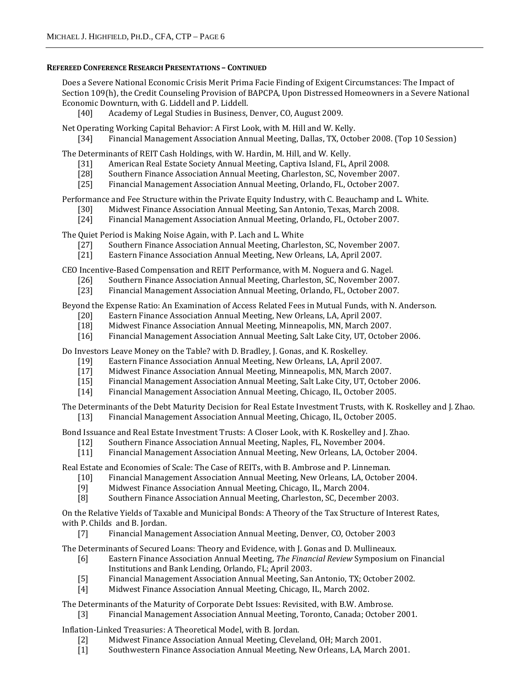# **REFEREED CONFERENCE RESEARCH PRESENTATIONS – CONTINUED**

Does a Severe National Economic Crisis Merit Prima Facie Finding of Exigent Circumstances: The Impact of Section 109(h), the Credit Counseling Provision of BAPCPA, Upon Distressed Homeowners in a Severe National Economic Downturn, with G. Liddell and P. Liddell.

[40] Academy of Legal Studies in Business, Denver, CO, August 2009.

Net Operating Working Capital Behavior: A First Look, with M. Hill and W. Kelly. [34] Financial Management Association Annual Meeting, Dallas, TX, October 2008. (Top 10 Session)

The Determinants of REIT Cash Holdings, with W. Hardin, M. Hill, and W. Kelly.

- [31] American Real Estate Society Annual Meeting, Captiva Island, FL, April 2008.
- [28] Southern Finance Association Annual Meeting, Charleston, SC, November 2007.
- [25] Financial Management Association Annual Meeting, Orlando, FL, October 2007.

Performance and Fee Structure within the Private Equity Industry, with C. Beauchamp and L. White.

- [30] Midwest Finance Association Annual Meeting, San Antonio, Texas, March 2008.
- [24] Financial Management Association Annual Meeting, Orlando, FL, October 2007.

The Quiet Period is Making Noise Again, with P. Lach and L. White

- [27] Southern Finance Association Annual Meeting, Charleston, SC, November 2007.
- [21] Eastern Finance Association Annual Meeting, New Orleans, LA, April 2007.

CEO Incentive-Based Compensation and REIT Performance, with M. Noguera and G. Nagel.

- [26] Southern Finance Association Annual Meeting, Charleston, SC, November 2007.
- [23] Financial Management Association Annual Meeting, Orlando, FL, October 2007.

Beyond the Expense Ratio: An Examination of Access Related Fees in Mutual Funds, with N. Anderson.

- [20] Eastern Finance Association Annual Meeting, New Orleans, LA, April 2007.
- [18] Midwest Finance Association Annual Meeting, Minneapolis, MN, March 2007.
- [16] Financial Management Association Annual Meeting, Salt Lake City, UT, October 2006.

Do Investors Leave Money on the Table? with D. Bradley, J. Gonas, and K. Roskelley.

- [19] Eastern Finance Association Annual Meeting, New Orleans, LA, April 2007.
- [17] Midwest Finance Association Annual Meeting, Minneapolis, MN, March 2007.
- [15] Financial Management Association Annual Meeting, Salt Lake City, UT, October 2006.
- [14] Financial Management Association Annual Meeting, Chicago, IL, October 2005.

The Determinants of the Debt Maturity Decision for Real Estate Investment Trusts, with K. Roskelley and J. Zhao.

[13] Financial Management Association Annual Meeting, Chicago, IL, October 2005.

Bond Issuance and Real Estate Investment Trusts: A Closer Look, with K. Roskelley and J. Zhao.

- [12] Southern Finance Association Annual Meeting, Naples, FL, November 2004.
- [11] Financial Management Association Annual Meeting, New Orleans, LA, October 2004.

Real Estate and Economies of Scale: The Case of REITs, with B. Ambrose and P. Linneman.

- [10] Financial Management Association Annual Meeting, New Orleans, LA, October 2004.
- [9] Midwest Finance Association Annual Meeting, Chicago, IL, March 2004.
- [8] Southern Finance Association Annual Meeting, Charleston, SC, December 2003.

On the Relative Yields of Taxable and Municipal Bonds: A Theory of the Tax Structure of Interest Rates, with P. Childs and B. Jordan.

[7] Financial Management Association Annual Meeting, Denver, CO, October 2003

The Determinants of Secured Loans: Theory and Evidence, with J. Gonas and D. Mullineaux.

- [6] Eastern Finance Association Annual Meeting, *The Financial Review* Symposium on Financial Institutions and Bank Lending, Orlando, FL; April 2003.
- [5] Financial Management Association Annual Meeting, San Antonio, TX; October 2002.
- [4] Midwest Finance Association Annual Meeting, Chicago, IL, March 2002.

The Determinants of the Maturity of Corporate Debt Issues: Revisited, with B.W. Ambrose.

[3] Financial Management Association Annual Meeting, Toronto, Canada; October 2001.

Inflation-Linked Treasuries: A Theoretical Model, with B. Jordan.

- [2] Midwest Finance Association Annual Meeting, Cleveland, OH; March 2001.
- [1] Southwestern Finance Association Annual Meeting, New Orleans, LA, March 2001.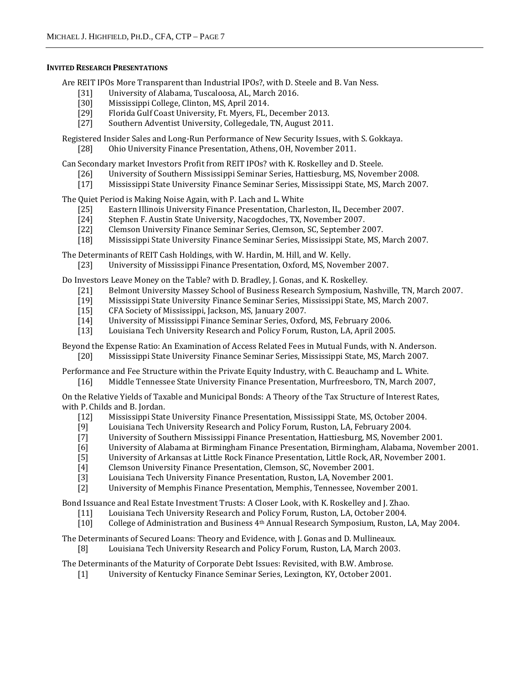## **INVITED RESEARCH PRESENTATIONS**

Are REIT IPOs More Transparent than Industrial IPOs?, with D. Steele and B. Van Ness.

- [31] University of Alabama, Tuscaloosa, AL, March 2016.
- [30] Mississippi College, Clinton, MS, April 2014.
- [29] Florida Gulf Coast University, Ft. Myers, FL, December 2013.
- [27] Southern Adventist University, Collegedale, TN, August 2011.

Registered Insider Sales and Long-Run Performance of New Security Issues, with S. Gokkaya.

[28] Ohio University Finance Presentation, Athens, OH, November 2011.

Can Secondary market Investors Profit from REIT IPOs? with K. Roskelley and D. Steele.

- [26] University of Southern Mississippi Seminar Series, Hattiesburg, MS, November 2008.
- [17] Mississippi State University Finance Seminar Series, Mississippi State, MS, March 2007.

The Quiet Period is Making Noise Again, with P. Lach and L. White

- [25] Eastern Illinois University Finance Presentation, Charleston, IL, December 2007.
- [24] Stephen F. Austin State University, Nacogdoches, TX, November 2007.
- [22] Clemson University Finance Seminar Series, Clemson, SC, September 2007.
- [18] Mississippi State University Finance Seminar Series, Mississippi State, MS, March 2007.

The Determinants of REIT Cash Holdings, with W. Hardin, M. Hill, and W. Kelly.

[23] University of Mississippi Finance Presentation, Oxford, MS, November 2007.

Do Investors Leave Money on the Table? with D. Bradley, J. Gonas, and K. Roskelley.

- [21] Belmont University Massey School of Business Research Symposium, Nashville, TN, March 2007.
- [19] Mississippi State University Finance Seminar Series, Mississippi State, MS, March 2007.
- [15] CFA Society of Mississippi, Jackson, MS, January 2007.
- [14] University of Mississippi Finance Seminar Series, Oxford, MS, February 2006.
- [13] Louisiana Tech University Research and Policy Forum, Ruston, LA, April 2005.

Beyond the Expense Ratio: An Examination of Access Related Fees in Mutual Funds, with N. Anderson. [20] Mississippi State University Finance Seminar Series, Mississippi State, MS, March 2007.

Performance and Fee Structure within the Private Equity Industry, with C. Beauchamp and L. White. [16] Middle Tennessee State University Finance Presentation, Murfreesboro, TN, March 2007,

On the Relative Yields of Taxable and Municipal Bonds: A Theory of the Tax Structure of Interest Rates, with P. Childs and B. Jordan.

- [12] Mississippi State University Finance Presentation, Mississippi State, MS, October 2004.
- [9] Louisiana Tech University Research and Policy Forum, Ruston, LA, February 2004.<br>[7] University of Southern Mississippi Finance Presentation, Hattiesburg, MS, Novemb
- University of Southern Mississippi Finance Presentation, Hattiesburg, MS, November 2001.
- [6] University of Alabama at Birmingham Finance Presentation, Birmingham, Alabama, November 2001.
- [5] University of Arkansas at Little Rock Finance Presentation, Little Rock, AR, November 2001.
- [4] Clemson University Finance Presentation, Clemson, SC, November 2001.
- [3] Louisiana Tech University Finance Presentation, Ruston, LA, November 2001.
- [2] University of Memphis Finance Presentation, Memphis, Tennessee, November 2001.

Bond Issuance and Real Estate Investment Trusts: A Closer Look, with K. Roskelley and J. Zhao.

- [11] Louisiana Tech University Research and Policy Forum, Ruston, LA, October 2004.
- [10] College of Administration and Business 4th Annual Research Symposium, Ruston, LA, May 2004.
- The Determinants of Secured Loans: Theory and Evidence, with J. Gonas and D. Mullineaux. [8] Louisiana Tech University Research and Policy Forum, Ruston, LA, March 2003.

The Determinants of the Maturity of Corporate Debt Issues: Revisited, with B.W. Ambrose.

[1] University of Kentucky Finance Seminar Series, Lexington, KY, October 2001.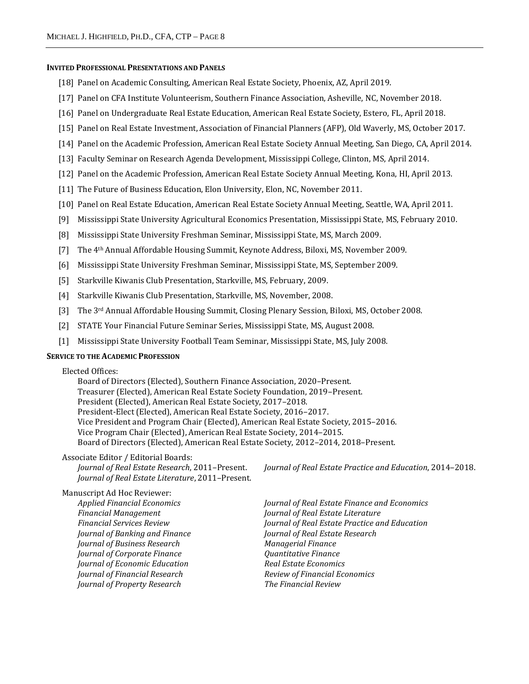#### **INVITED PROFESSIONAL PRESENTATIONS AND PANELS**

- [18] Panel on Academic Consulting, American Real Estate Society, Phoenix, AZ, April 2019.
- [17] Panel on CFA Institute Volunteerism, Southern Finance Association, Asheville, NC, November 2018.
- [16] Panel on Undergraduate Real Estate Education, American Real Estate Society, Estero, FL, April 2018.
- [15] Panel on Real Estate Investment, Association of Financial Planners (AFP), Old Waverly, MS, October 2017.
- [14] Panel on the Academic Profession, American Real Estate Society Annual Meeting, San Diego, CA, April 2014.
- [13] Faculty Seminar on Research Agenda Development, Mississippi College, Clinton, MS, April 2014.
- [12] Panel on the Academic Profession, American Real Estate Society Annual Meeting, Kona, HI, April 2013.
- [11] The Future of Business Education, Elon University, Elon, NC, November 2011.
- [10] Panel on Real Estate Education, American Real Estate Society Annual Meeting, Seattle, WA, April 2011.
- [9] Mississippi State University Agricultural Economics Presentation, Mississippi State, MS, February 2010.
- [8] Mississippi State University Freshman Seminar, Mississippi State, MS, March 2009.
- [7] The 4<sup>th</sup> Annual Affordable Housing Summit, Keynote Address, Biloxi, MS, November 2009.
- [6] Mississippi State University Freshman Seminar, Mississippi State, MS, September 2009.
- [5] Starkville Kiwanis Club Presentation, Starkville, MS, February, 2009.
- [4] Starkville Kiwanis Club Presentation, Starkville, MS, November, 2008.
- [3] The 3rd Annual Affordable Housing Summit, Closing Plenary Session, Biloxi, MS, October 2008.
- [2] STATE Your Financial Future Seminar Series, Mississippi State, MS, August 2008.
- [1] Mississippi State University Football Team Seminar, Mississippi State, MS, July 2008.

# **SERVICE TO THE ACADEMIC PROFESSION**

Elected Offices: Board of Directors (Elected), Southern Finance Association, 2020–Present. Treasurer (Elected), American Real Estate Society Foundation, 2019–Present. President (Elected), American Real Estate Society, 2017–2018. President-Elect (Elected), American Real Estate Society, 2016–2017. Vice President and Program Chair (Elected), American Real Estate Society, 2015–2016. Vice Program Chair (Elected), American Real Estate Society, 2014–2015. Board of Directors (Elected), American Real Estate Society, 2012–2014, 2018–Present.

#### Associate Editor / Editorial Boards:

*Journal of Real Estate Literature*, 2011–Present.

*Journal of Real Estate Research*, 2011–Present. *Journal of Real Estate Practice and Education*, 2014–2018.

*Applied Financial Economics Journal of Real Estate Finance and Economics Journal of Banking and Finance Journal of Real Estate Research Journal of Business Research Managerial Finance Journal of Corporate Finance Quantitative Finance Journal of Economic Education Real Estate Economics Journal of Financial Research* Review of Financial Economics *Journal of Property Research The Financial Review*

*Financial Management Journal of Real Estate Literature Financial Services Review Journal of Real Estate Practice and Education*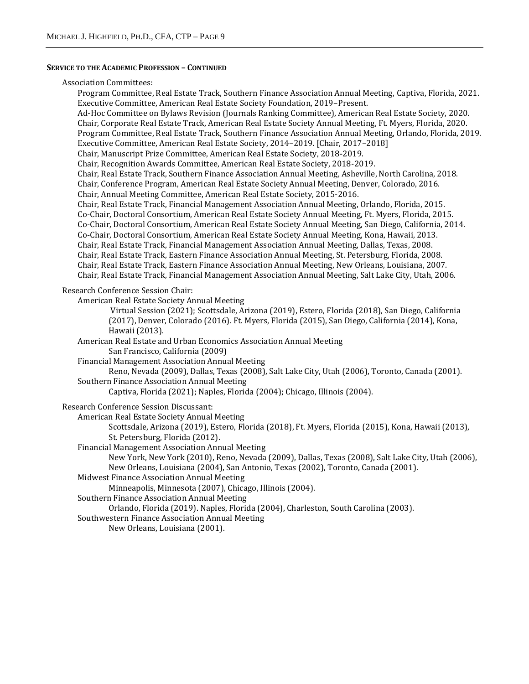#### **SERVICE TO THE ACADEMIC PROFESSION – CONTINUED**

#### Association Committees:

Program Committee, Real Estate Track, Southern Finance Association Annual Meeting, Captiva, Florida, 2021. Executive Committee, American Real Estate Society Foundation, 2019–Present. Ad-Hoc Committee on Bylaws Revision (Journals Ranking Committee), American Real Estate Society, 2020. Chair, Corporate Real Estate Track, American Real Estate Society Annual Meeting, Ft. Myers, Florida, 2020. Program Committee, Real Estate Track, Southern Finance Association Annual Meeting, Orlando, Florida, 2019. Executive Committee, American Real Estate Society, 2014–2019. [Chair, 2017–2018] Chair, Manuscript Prize Committee, American Real Estate Society, 2018-2019. Chair, Recognition Awards Committee, American Real Estate Society, 2018-2019. Chair, Real Estate Track, Southern Finance Association Annual Meeting, Asheville, North Carolina, 2018. Chair, Conference Program, American Real Estate Society Annual Meeting, Denver, Colorado, 2016. Chair, Annual Meeting Committee, American Real Estate Society, 2015-2016. Chair, Real Estate Track, Financial Management Association Annual Meeting, Orlando, Florida, 2015. Co-Chair, Doctoral Consortium, American Real Estate Society Annual Meeting, Ft. Myers, Florida, 2015. Co-Chair, Doctoral Consortium, American Real Estate Society Annual Meeting, San Diego, California, 2014. Co-Chair, Doctoral Consortium, American Real Estate Society Annual Meeting, Kona, Hawaii, 2013. Chair, Real Estate Track, Financial Management Association Annual Meeting, Dallas, Texas, 2008. Chair, Real Estate Track, Eastern Finance Association Annual Meeting, St. Petersburg, Florida, 2008. Chair, Real Estate Track, Eastern Finance Association Annual Meeting, New Orleans, Louisiana, 2007. Chair, Real Estate Track, Financial Management Association Annual Meeting, Salt Lake City, Utah, 2006.

# Research Conference Session Chair:

American Real Estate Society Annual Meeting

Virtual Session (2021); Scottsdale, Arizona (2019), Estero, Florida (2018), San Diego, California (2017), Denver, Colorado (2016). Ft. Myers, Florida (2015), San Diego, California (2014), Kona, Hawaii (2013).

American Real Estate and Urban Economics Association Annual Meeting

San Francisco, California (2009)

Financial Management Association Annual Meeting

Reno, Nevada (2009), Dallas, Texas (2008), Salt Lake City, Utah (2006), Toronto, Canada (2001). Southern Finance Association Annual Meeting

Captiva, Florida (2021); Naples, Florida (2004); Chicago, Illinois (2004).

Research Conference Session Discussant:

American Real Estate Society Annual Meeting

Scottsdale, Arizona (2019), Estero, Florida (2018), Ft. Myers, Florida (2015), Kona, Hawaii (2013), St. Petersburg, Florida (2012).

Financial Management Association Annual Meeting

New York, New York (2010), Reno, Nevada (2009), Dallas, Texas (2008), Salt Lake City, Utah (2006), New Orleans, Louisiana (2004), San Antonio, Texas (2002), Toronto, Canada (2001).

Midwest Finance Association Annual Meeting

Minneapolis, Minnesota (2007), Chicago, Illinois (2004).

Southern Finance Association Annual Meeting

Orlando, Florida (2019). Naples, Florida (2004), Charleston, South Carolina (2003).

Southwestern Finance Association Annual Meeting

New Orleans, Louisiana (2001).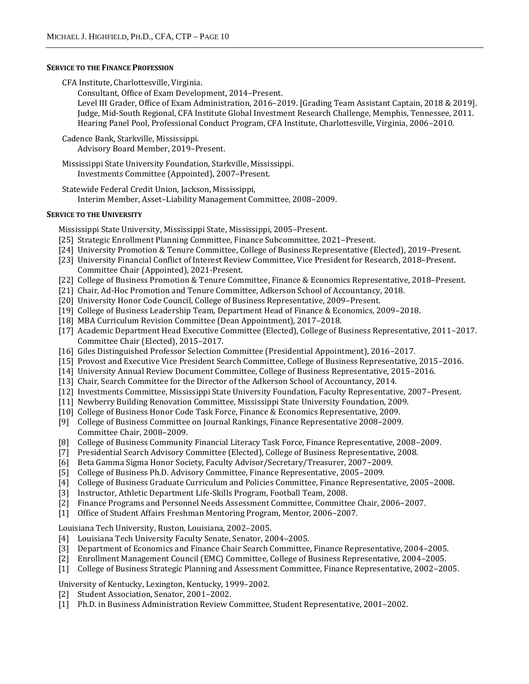## **SERVICE TO THE FINANCE PROFESSION**

CFA Institute, Charlottesville, Virginia.

Consultant, Office of Exam Development, 2014–Present.

Level III Grader, Office of Exam Administration, 2016–2019. [Grading Team Assistant Captain, 2018 & 2019]. Judge, Mid-South Regional, CFA Institute Global Investment Research Challenge, Memphis, Tennessee, 2011. Hearing Panel Pool, Professional Conduct Program, CFA Institute, Charlottesville, Virginia, 2006–2010.

Cadence Bank, Starkville, Mississippi.

Advisory Board Member, 2019–Present.

Mississippi State University Foundation, Starkville, Mississippi. Investments Committee (Appointed), 2007–Present.

Statewide Federal Credit Union, Jackson, Mississippi, Interim Member, Asset–Liability Management Committee, 2008–2009.

# **SERVICE TO THE UNIVERSITY**

Mississippi State University, Mississippi State, Mississippi, 2005–Present.

- [25] Strategic Enrollment Planning Committee, Finance Subcommittee, 2021–Present.
- [24] University Promotion & Tenure Committee, College of Business Representative (Elected), 2019–Present.
- [23] University Financial Conflict of Interest Review Committee, Vice President for Research, 2018–Present. Committee Chair (Appointed), 2021-Present.
- [22] College of Business Promotion & Tenure Committee, Finance & Economics Representative, 2018–Present.
- [21] Chair, Ad-Hoc Promotion and Tenure Committee, Adkerson School of Accountancy, 2018.
- [20] University Honor Code Council, College of Business Representative, 2009–Present.
- [19] College of Business Leadership Team, Department Head of Finance & Economics, 2009–2018.
- [18] MBA Curriculum Revision Committee (Dean Appointment), 2017–2018.
- [17] Academic Department Head Executive Committee (Elected), College of Business Representative, 2011–2017. Committee Chair (Elected), 2015–2017.
- [16] Giles Distinguished Professor Selection Committee (Presidential Appointment), 2016–2017.
- [15] Provost and Executive Vice President Search Committee, College of Business Representative, 2015–2016.
- [14] University Annual Review Document Committee, College of Business Representative, 2015–2016.
- [13] Chair, Search Committee for the Director of the Adkerson School of Accountancy, 2014.
- [12] Investments Committee, Mississippi State University Foundation, Faculty Representative, 2007–Present.
- [11] Newberry Building Renovation Committee, Mississippi State University Foundation, 2009.
- [10] College of Business Honor Code Task Force, Finance & Economics Representative, 2009.
- [9] College of Business Committee on Journal Rankings, Finance Representative 2008–2009. Committee Chair, 2008–2009.
- [8] College of Business Community Financial Literacy Task Force, Finance Representative, 2008–2009.
- [7] Presidential Search Advisory Committee (Elected), College of Business Representative, 2008.
- [6] Beta Gamma Sigma Honor Society, Faculty Advisor/Secretary/Treasurer, 2007−2009.
- [5] College of Business Ph.D. Advisory Committee, Finance Representative, 2005–2009.
- [4] College of Business Graduate Curriculum and Policies Committee, Finance Representative, 2005–2008.
- [3] Instructor, Athletic Department Life-Skills Program, Football Team, 2008.
- [2] Finance Programs and Personnel Needs Assessment Committee, Committee Chair, 2006−2007.
- [1] Office of Student Affairs Freshman Mentoring Program, Mentor, 2006–2007.

Louisiana Tech University, Ruston, Louisiana, 2002–2005.

- [4] Louisiana Tech University Faculty Senate, Senator, 2004–2005.
- [3] Department of Economics and Finance Chair Search Committee, Finance Representative, 2004–2005.
- [2] Enrollment Management Council (EMC) Committee, College of Business Representative, 2004–2005.
- [1] College of Business Strategic Planning and Assessment Committee, Finance Representative, 2002–2005.

University of Kentucky, Lexington, Kentucky, 1999–2002.

- [2] Student Association, Senator, 2001–2002.
- [1] Ph.D. in Business Administration Review Committee, Student Representative, 2001–2002.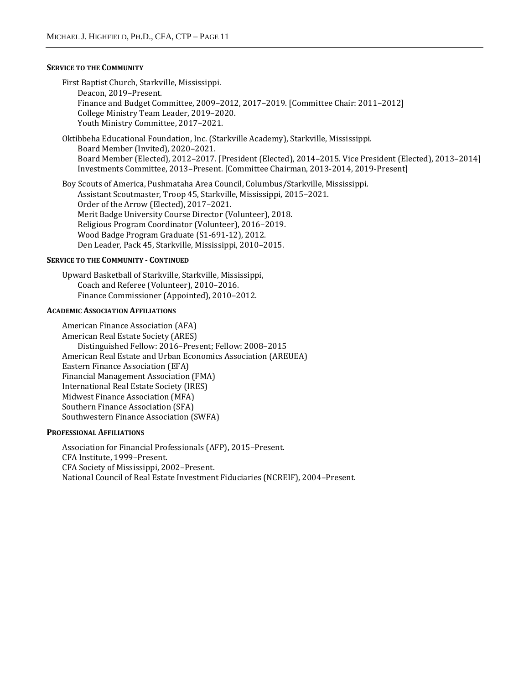## **SERVICE TO THE COMMUNITY**

First Baptist Church, Starkville, Mississippi. Deacon, 2019–Present. Finance and Budget Committee, 2009–2012, 2017–2019. [Committee Chair: 2011–2012] College Ministry Team Leader, 2019–2020. Youth Ministry Committee, 2017–2021.

Oktibbeha Educational Foundation, Inc. (Starkville Academy), Starkville, Mississippi. Board Member (Invited), 2020–2021. Board Member (Elected), 2012–2017. [President (Elected), 2014–2015. Vice President (Elected), 2013–2014] Investments Committee, 2013–Present. [Committee Chairman, 2013-2014, 2019-Present]

Boy Scouts of America, Pushmataha Area Council, Columbus/Starkville, Mississippi. Assistant Scoutmaster, Troop 45, Starkville, Mississippi, 2015–2021. Order of the Arrow (Elected), 2017–2021. Merit Badge University Course Director (Volunteer), 2018. Religious Program Coordinator (Volunteer), 2016–2019. Wood Badge Program Graduate (S1-691-12), 2012. Den Leader, Pack 45, Starkville, Mississippi, 2010–2015.

# **SERVICE TO THE COMMUNITY - CONTINUED**

Upward Basketball of Starkville, Starkville, Mississippi, Coach and Referee (Volunteer), 2010–2016. Finance Commissioner (Appointed), 2010–2012.

### **ACADEMIC ASSOCIATION AFFILIATIONS**

American Finance Association (AFA) American Real Estate Society (ARES) Distinguished Fellow: 2016–Present; Fellow: 2008–2015 American Real Estate and Urban Economics Association (AREUEA) Eastern Finance Association (EFA) Financial Management Association (FMA) International Real Estate Society (IRES) Midwest Finance Association (MFA) Southern Finance Association (SFA) Southwestern Finance Association (SWFA)

### **PROFESSIONAL AFFILIATIONS**

Association for Financial Professionals (AFP), 2015–Present. CFA Institute, 1999–Present. CFA Society of Mississippi, 2002–Present. National Council of Real Estate Investment Fiduciaries (NCREIF), 2004–Present.